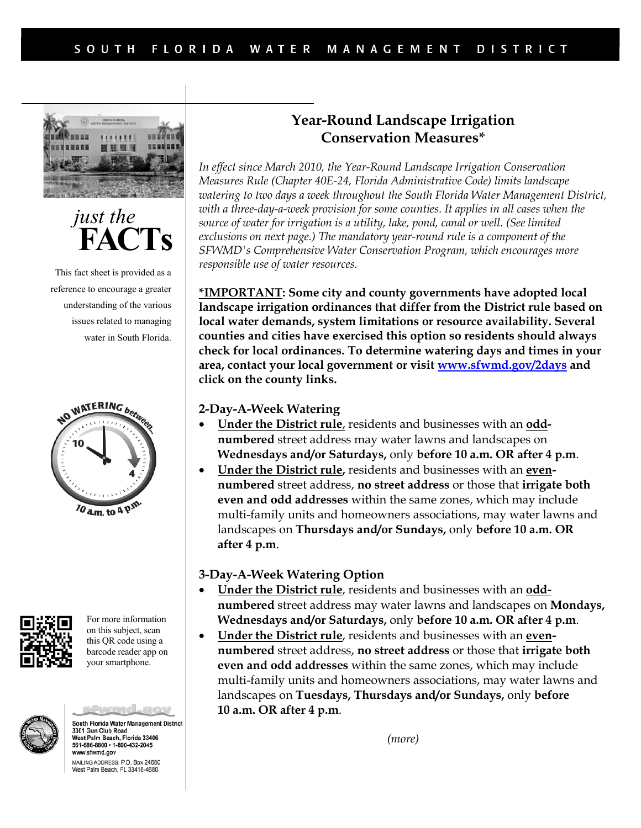



This fact sheet is provided as a reference to encourage a greater understanding of the various issues related to managing water in South Florida.





For more information on this subject, scan this QR code using a barcode reader app on your smartphone.



South Florida Water Management District 3301 Gun Club Road vest Palm Beach, Florida 33406 561-686-8800 · 1-800-432-2045 www.sfwmd.gov MAILING ADDRESS: P.O. Box 24680 West Palm Beach, FL 33416-4680

# <span id="page-0-1"></span>**Year-Round Landscape Irrigation Conservation Measure[s\\*](#page-0-0)**

*In effect since March 2010, the Year-Round Landscape Irrigation Conservation Measures Rule (Chapter 40E-24, Florida Administrative Code) limits landscape watering to two days a week throughout the South Florida Water Management District, with a three-day-a-week provision for some counties. It applies in all cases when the source of water for irrigation is a utility, lake, pond, canal or well. (See limited exclusions on next page.) The mandatory year-round rule is a component of the SFWMD's Comprehensive Water Conservation Program, which encourages more responsible use of water resources.*

<span id="page-0-0"></span>**[\\*](#page-0-1)IMPORTANT: Some city and county governments have adopted local landscape irrigation ordinances that differ from the District rule based on local water demands, system limitations or resource availability. Several counties and cities have exercised this option so residents should always check for local ordinances. To determine watering days and times in your area, contact your local government or visit [www.sfwmd.gov/2days](http://www.sfwmd.gov/2days) and click on the county links.** 

#### **2-Day-A-Week Watering**

- **Under the District rule**, residents and businesses with an **oddnumbered** street address may water lawns and landscapes on **Wednesdays and/or Saturdays,** only **before 10 a.m. OR after 4 p.m**.
- **Under the District rule,** residents and businesses with an **evennumbered** street address, **no street address** or those that **irrigate both even and odd addresses** within the same zones, which may include multi-family units and homeowners associations, may water lawns and landscapes on **Thursdays and/or Sundays,** only **before 10 a.m. OR after 4 p.m**.

#### **3-Day-A-Week Watering Option**

- **Under the District rule**, residents and businesses with an **oddnumbered** street address may water lawns and landscapes on **Mondays, Wednesdays and/or Saturdays,** only **before 10 a.m. OR after 4 p.m**.
- **Under the District rule**, residents and businesses with an **evennumbered** street address, **no street address** or those that **irrigate both even and odd addresses** within the same zones, which may include multi-family units and homeowners associations, may water lawns and landscapes on **Tuesdays, Thursdays and/or Sundays,** only **before 10 a.m. OR after 4 p.m**.

*(more)*